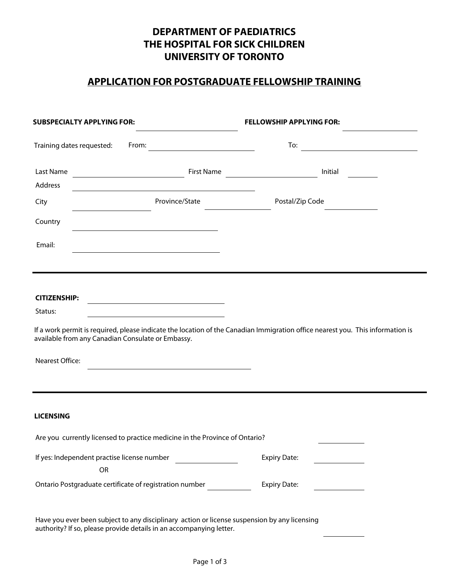# **DEPARTMENT OF PAEDIATRICS** THE HOSPITAL FOR SICK CHILDREN UNIVERSITY OF TORONTO

## **APPLICATION FOR POSTGRADUATE FELLOWSHIP TRAINING**

| <b>SUBSPECIALTY APPLYING FOR:</b>                                                                                                                                                                                                                                                   |                              | <b>FELLOWSHIP APPLYING FOR:</b> |                            |
|-------------------------------------------------------------------------------------------------------------------------------------------------------------------------------------------------------------------------------------------------------------------------------------|------------------------------|---------------------------------|----------------------------|
| Training dates requested:                                                                                                                                                                                                                                                           | From: $\qquad \qquad \qquad$ |                                 | To: $\qquad \qquad \qquad$ |
| Last Name                                                                                                                                                                                                                                                                           |                              | First Name<br>Initial           |                            |
| Address                                                                                                                                                                                                                                                                             |                              |                                 |                            |
| Province/State<br>City                                                                                                                                                                                                                                                              |                              | Postal/Zip Code                 |                            |
| Country                                                                                                                                                                                                                                                                             | $\left  \mathbf{v} \right $  |                                 |                            |
| Email:                                                                                                                                                                                                                                                                              |                              |                                 |                            |
|                                                                                                                                                                                                                                                                                     |                              |                                 |                            |
| <b>CITIZENSHIP:</b><br>Status:<br><u> 1989 - Johann Barbara, martin d</u><br>If a work permit is required, please indicate the location of the Canadian Immigration office nearest you. This information is<br>available from any Canadian Consulate or Embassy.<br>Nearest Office: | $\blacktriangleright$        |                                 |                            |
| <b>LICENSING</b>                                                                                                                                                                                                                                                                    |                              |                                 |                            |
| Are you currently licensed to practice medicine in the Province of Ontario?                                                                                                                                                                                                         |                              |                                 | $\overline{\phantom{0}}$   |
| If yes: Independent practise license number<br>OR                                                                                                                                                                                                                                   |                              | <b>Expiry Date:</b>             |                            |
| Ontario Postgraduate certificate of registration number                                                                                                                                                                                                                             |                              | <b>Expiry Date:</b>             |                            |
| Have you ever been subject to any disciplinary action or license suspension by any licensing<br>authority? If so, please provide details in an accompanying letter.                                                                                                                 |                              |                                 |                            |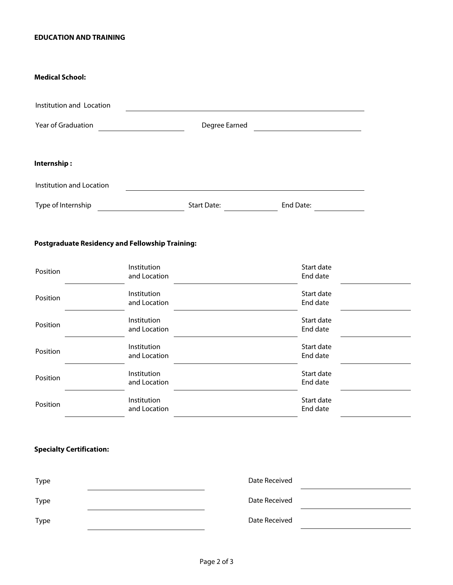#### **EDUCATION AND TRAINING**

#### **Medical School:**

| Institution and Location  |              |                    |           |  |
|---------------------------|--------------|--------------------|-----------|--|
| <b>Year of Graduation</b> | $\mathbf{r}$ | Degree Earned      |           |  |
| Internship:               |              |                    |           |  |
| Institution and Location  |              |                    |           |  |
| Type of Internship        |              | <b>Start Date:</b> | End Date: |  |

## **Postgraduate Residency and Fellowship Training:**

| Position | Institution<br>and Location | Start date<br>End date |
|----------|-----------------------------|------------------------|
| Position | Institution<br>and Location | Start date<br>End date |
| Position | Institution<br>and Location | Start date<br>End date |
| Position | Institution<br>and Location | Start date<br>End date |
| Position | Institution<br>and Location | Start date<br>End date |
| Position | Institution<br>and Location | Start date<br>End date |

## **Specialty Certification:**

| Type        | Date Received |  |
|-------------|---------------|--|
| <b>Type</b> | Date Received |  |
| <b>Type</b> | Date Received |  |